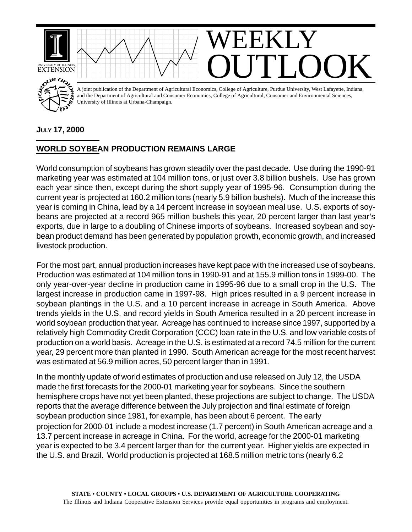

## **JULY 17, 2000**

## **WORLD SOYBEAN PRODUCTION REMAINS LARGE**

World consumption of soybeans has grown steadily over the past decade. Use during the 1990-91 marketing year was estimated at 104 million tons, or just over 3.8 billion bushels. Use has grown each year since then, except during the short supply year of 1995-96. Consumption during the current year is projected at 160.2 million tons (nearly 5.9 billion bushels). Much of the increase this year is coming in China, lead by a 14 percent increase in soybean meal use. U.S. exports of soybeans are projected at a record 965 million bushels this year, 20 percent larger than last year's exports, due in large to a doubling of Chinese imports of soybeans. Increased soybean and soybean product demand has been generated by population growth, economic growth, and increased livestock production.

For the most part, annual production increases have kept pace with the increased use of soybeans. Production was estimated at 104 million tons in 1990-91 and at 155.9 million tons in 1999-00. The only year-over-year decline in production came in 1995-96 due to a small crop in the U.S. The largest increase in production came in 1997-98. High prices resulted in a 9 percent increase in soybean plantings in the U.S. and a 10 percent increase in acreage in South America. Above trends yields in the U.S. and record yields in South America resulted in a 20 percent increase in world soybean production that year. Acreage has continued to increase since 1997, supported by a relatively high Commodity Credit Corporation (CCC) loan rate in the U.S. and low variable costs of production on a world basis. Acreage in the U.S. is estimated at a record 74.5 million for the current year, 29 percent more than planted in 1990. South American acreage for the most recent harvest was estimated at 56.9 million acres, 50 percent larger than in 1991.

In the monthly update of world estimates of production and use released on July 12, the USDA made the first forecasts for the 2000-01 marketing year for soybeans. Since the southern hemisphere crops have not yet been planted, these projections are subject to change. The USDA reports that the average difference between the July projection and final estimate of foreign soybean production since 1981, for example, has been about 6 percent. The early projection for 2000-01 include a modest increase (1.7 percent) in South American acreage and a 13.7 percent increase in acreage in China. For the world, acreage for the 2000-01 marketing year is expected to be 3.4 percent larger than for the current year. Higher yields are expected in the U.S. and Brazil. World production is projected at 168.5 million metric tons (nearly 6.2